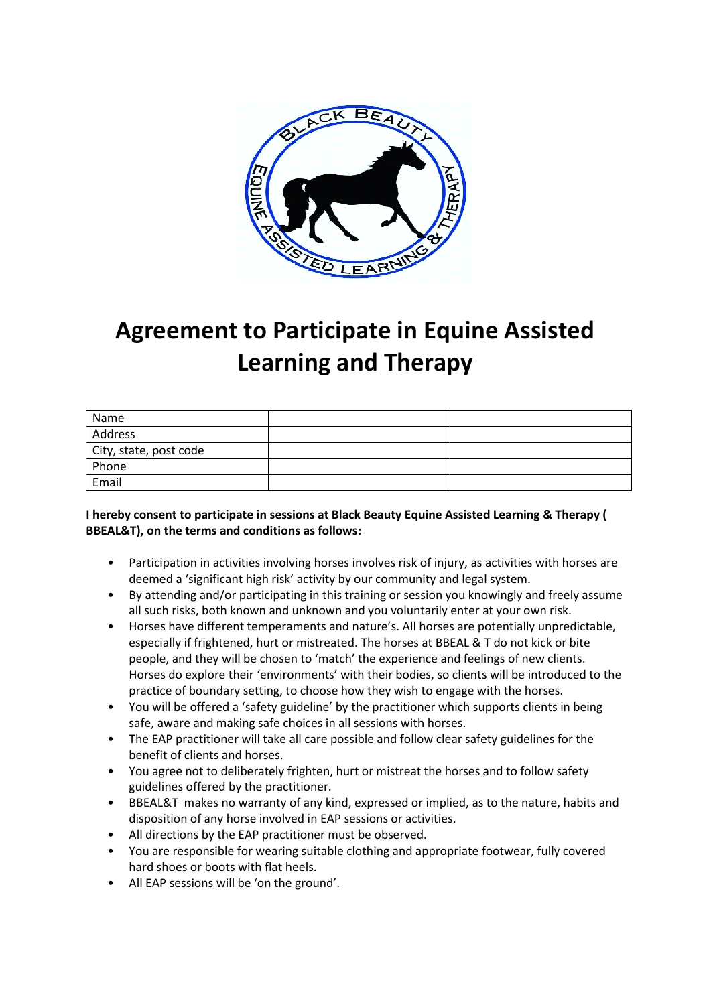

## **Agreement to Participate in Equine Assisted Learning and Therapy**

| Name                   |  |
|------------------------|--|
| Address                |  |
| City, state, post code |  |
| Phone                  |  |
| Email                  |  |

## **I hereby consent to participate in sessions at Black Beauty Equine Assisted Learning & Therapy ( BBEAL&T), on the terms and conditions as follows:**

- Participation in activities involving horses involves risk of injury, as activities with horses are deemed a 'significant high risk' activity by our community and legal system.
- By attending and/or participating in this training or session you knowingly and freely assume all such risks, both known and unknown and you voluntarily enter at your own risk.
- Horses have different temperaments and nature's. All horses are potentially unpredictable, especially if frightened, hurt or mistreated. The horses at BBEAL & T do not kick or bite people, and they will be chosen to 'match' the experience and feelings of new clients. Horses do explore their 'environments' with their bodies, so clients will be introduced to the practice of boundary setting, to choose how they wish to engage with the horses.
- You will be offered a 'safety guideline' by the practitioner which supports clients in being safe, aware and making safe choices in all sessions with horses.
- The EAP practitioner will take all care possible and follow clear safety guidelines for the benefit of clients and horses.
- You agree not to deliberately frighten, hurt or mistreat the horses and to follow safety guidelines offered by the practitioner.
- BBEAL&T makes no warranty of any kind, expressed or implied, as to the nature, habits and disposition of any horse involved in EAP sessions or activities.
- All directions by the EAP practitioner must be observed.
- You are responsible for wearing suitable clothing and appropriate footwear, fully covered hard shoes or boots with flat heels.
- All EAP sessions will be 'on the ground'.